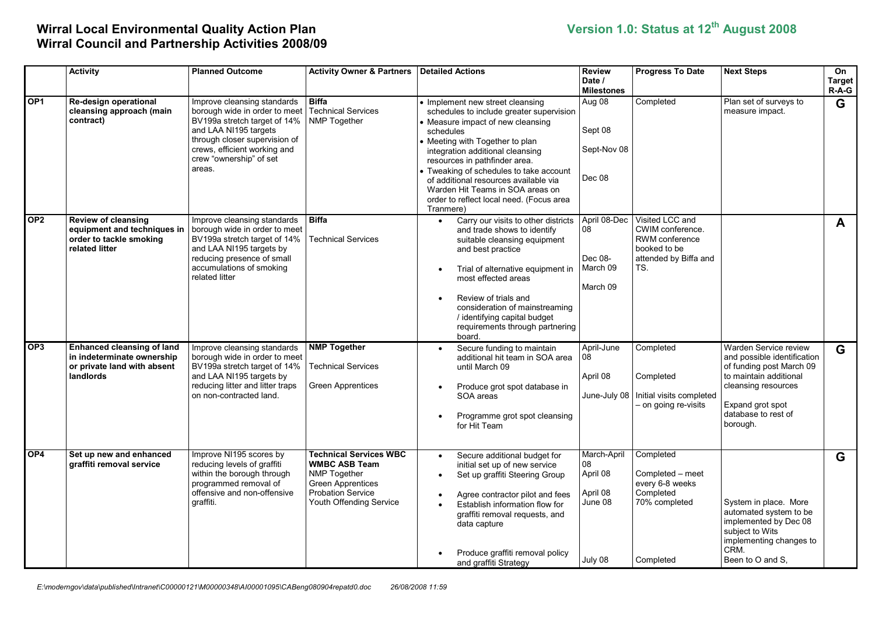## Wirral Local Environmental Quality Action Plan Version 1.0: Status at 12th August 2008 Wirral Council and Partnership Activities 2008/09

|                 | <b>Activity</b>                                                                                             | <b>Planned Outcome</b>                                                                                                                                                                                                      | <b>Activity Owner &amp; Partners</b>                                                                                                                     | <b>Detailed Actions</b>                                                                                                                                                                                                                                                                                                                                                                                                 | <b>Review</b><br>Date /<br><b>Milestones</b>                    | <b>Progress To Date</b>                                                                                      | <b>Next Steps</b>                                                                                                                                                                        | On<br>Target<br>$R-A-G$ |
|-----------------|-------------------------------------------------------------------------------------------------------------|-----------------------------------------------------------------------------------------------------------------------------------------------------------------------------------------------------------------------------|----------------------------------------------------------------------------------------------------------------------------------------------------------|-------------------------------------------------------------------------------------------------------------------------------------------------------------------------------------------------------------------------------------------------------------------------------------------------------------------------------------------------------------------------------------------------------------------------|-----------------------------------------------------------------|--------------------------------------------------------------------------------------------------------------|------------------------------------------------------------------------------------------------------------------------------------------------------------------------------------------|-------------------------|
| OP <sub>1</sub> | Re-design operational<br>cleansing approach (main<br>contract)                                              | Improve cleansing standards<br>borough wide in order to meet<br>BV199a stretch target of 14%<br>and LAA NI195 targets<br>through closer supervision of<br>crews, efficient working and<br>crew "ownership" of set<br>areas. | <b>Biffa</b><br><b>Technical Services</b><br><b>NMP Together</b>                                                                                         | • Implement new street cleansing<br>schedules to include greater supervision<br>• Measure impact of new cleansing<br>schedules<br>• Meeting with Together to plan<br>integration additional cleansing<br>resources in pathfinder area.<br>• Tweaking of schedules to take account<br>of additional resources available via<br>Warden Hit Teams in SOA areas on<br>order to reflect local need. (Focus area<br>Tranmere) | Aug 08<br>Sept 08<br>Sept-Nov 08<br>Dec 08                      | Completed                                                                                                    | Plan set of surveys to<br>measure impact.                                                                                                                                                | G                       |
| OP <sub>2</sub> | <b>Review of cleansing</b><br>equipment and techniques in<br>order to tackle smoking<br>related litter      | Improve cleansing standards<br>borough wide in order to meet<br>BV199a stretch target of 14%<br>and LAA NI195 targets by<br>reducing presence of small<br>accumulations of smoking<br>related litter                        | <b>Biffa</b><br><b>Technical Services</b>                                                                                                                | Carry our visits to other districts<br>$\bullet$<br>and trade shows to identify<br>suitable cleansing equipment<br>and best practice<br>Trial of alternative equipment in<br>most effected areas<br>Review of trials and<br>consideration of mainstreaming<br>/ identifying capital budget<br>requirements through partnering<br>board.                                                                                 | April 08-Dec<br>08<br>Dec 08-<br>March 09<br>March 09           | Visited LCC and<br>CWIM conference.<br><b>RWM</b> conference<br>booked to be<br>attended by Biffa and<br>TS. |                                                                                                                                                                                          | $\mathbf{A}$            |
| OP <sub>3</sub> | <b>Enhanced cleansing of land</b><br>in indeterminate ownership<br>or private land with absent<br>landlords | Improve cleansing standards<br>borough wide in order to meet<br>BV199a stretch target of 14%<br>and LAA NI195 targets by<br>reducing litter and litter traps<br>on non-contracted land.                                     | <b>NMP Together</b><br><b>Technical Services</b><br>Green Apprentices                                                                                    | Secure funding to maintain<br>additional hit team in SOA area<br>until March 09<br>Produce grot spot database in<br>SOA areas<br>Programme grot spot cleansing<br>for Hit Team                                                                                                                                                                                                                                          | April-June<br>08<br>April 08<br>June-July 08                    | Completed<br>Completed<br>Initial visits completed<br>- on going re-visits                                   | Warden Service review<br>and possible identification<br>of funding post March 09<br>to maintain additional<br>cleansing resources<br>Expand grot spot<br>database to rest of<br>borough. | G                       |
| OP <sub>4</sub> | Set up new and enhanced<br>graffiti removal service                                                         | Improve NI195 scores by<br>reducing levels of graffiti<br>within the borough through<br>programmed removal of<br>offensive and non-offensive<br>graffiti.                                                                   | <b>Technical Services WBC</b><br><b>WMBC ASB Team</b><br><b>NMP Together</b><br>Green Apprentices<br><b>Probation Service</b><br>Youth Offending Service | Secure additional budget for<br>initial set up of new service<br>Set up graffiti Steering Group<br>Agree contractor pilot and fees<br>Establish information flow for<br>graffiti removal requests, and<br>data capture<br>Produce graffiti removal policy<br>and graffiti Strategy                                                                                                                                      | March-April<br>08<br>April 08<br>April 08<br>June 08<br>July 08 | Completed<br>Completed - meet<br>every 6-8 weeks<br>Completed<br>70% completed<br>Completed                  | System in place. More<br>automated system to be<br>implemented by Dec 08<br>subject to Wits<br>implementing changes to<br>CRM.<br>Been to O and S,                                       | G                       |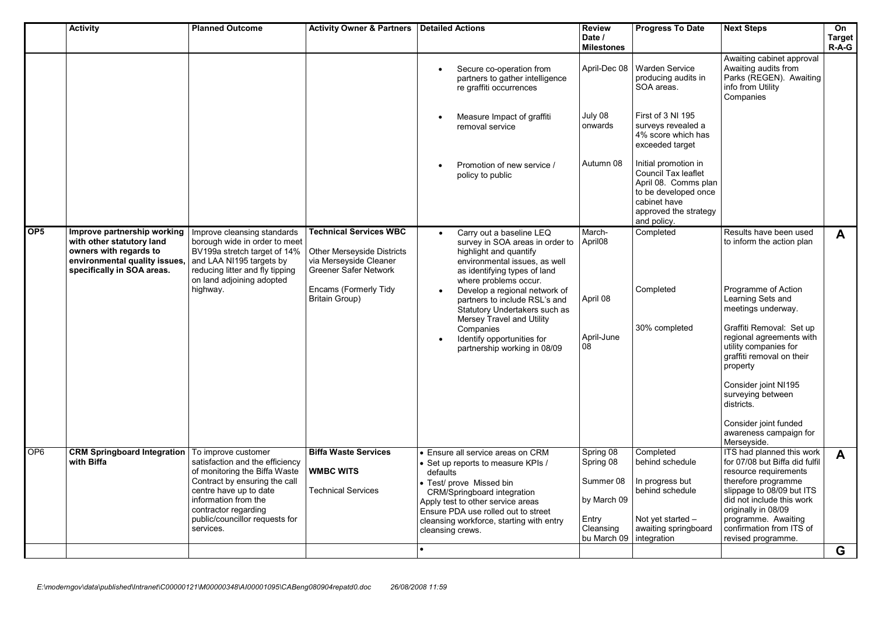|                 | <b>Activity</b>                                                                                                                                   | <b>Planned Outcome</b>                                                                                                                                                                                                                            | <b>Activity Owner &amp; Partners   Detailed Actions</b>                                                                                                                 |                                                                                                                                                                                                                                                                                                                                                                                            | <b>Review</b><br>Date /<br><b>Milestones</b>                                            | <b>Progress To Date</b>                                                                                                                             | <b>Next Steps</b>                                                                                                                                                                                                                                                                                                                                                            | On<br><b>Target</b><br>$R-\tilde{A}-G$ |
|-----------------|---------------------------------------------------------------------------------------------------------------------------------------------------|---------------------------------------------------------------------------------------------------------------------------------------------------------------------------------------------------------------------------------------------------|-------------------------------------------------------------------------------------------------------------------------------------------------------------------------|--------------------------------------------------------------------------------------------------------------------------------------------------------------------------------------------------------------------------------------------------------------------------------------------------------------------------------------------------------------------------------------------|-----------------------------------------------------------------------------------------|-----------------------------------------------------------------------------------------------------------------------------------------------------|------------------------------------------------------------------------------------------------------------------------------------------------------------------------------------------------------------------------------------------------------------------------------------------------------------------------------------------------------------------------------|----------------------------------------|
|                 |                                                                                                                                                   |                                                                                                                                                                                                                                                   |                                                                                                                                                                         | Secure co-operation from<br>partners to gather intelligence<br>re graffiti occurrences                                                                                                                                                                                                                                                                                                     | April-Dec 08                                                                            | <b>Warden Service</b><br>producing audits in<br>SOA areas.                                                                                          | Awaiting cabinet approval<br>Awaiting audits from<br>Parks (REGEN). Awaiting<br>info from Utility<br>Companies                                                                                                                                                                                                                                                               |                                        |
|                 |                                                                                                                                                   |                                                                                                                                                                                                                                                   |                                                                                                                                                                         | Measure Impact of graffiti<br>removal service                                                                                                                                                                                                                                                                                                                                              | July 08<br>onwards                                                                      | First of 3 NI 195<br>surveys revealed a<br>4% score which has<br>exceeded target                                                                    |                                                                                                                                                                                                                                                                                                                                                                              |                                        |
|                 |                                                                                                                                                   |                                                                                                                                                                                                                                                   |                                                                                                                                                                         | Promotion of new service /<br>policy to public                                                                                                                                                                                                                                                                                                                                             | Autumn 08                                                                               | Initial promotion in<br>Council Tax leaflet<br>April 08. Comms plan<br>to be developed once<br>cabinet have<br>approved the strategy<br>and policy. |                                                                                                                                                                                                                                                                                                                                                                              |                                        |
| OP <sub>5</sub> | Improve partnership working<br>with other statutory land<br>owners with regards to<br>environmental quality issues,<br>specifically in SOA areas. | Improve cleansing standards<br>borough wide in order to meet<br>BV199a stretch target of 14%<br>and LAA NI195 targets by<br>reducing litter and fly tipping<br>on land adjoining adopted<br>highway.                                              | <b>Technical Services WBC</b><br>Other Merseyside Districts<br>via Merseyside Cleaner<br><b>Greener Safer Network</b><br>Encams (Formerly Tidy<br><b>Britain Group)</b> | Carry out a baseline LEQ<br>survey in SOA areas in order to<br>highlight and quantify<br>environmental issues, as well<br>as identifying types of land<br>where problems occur.<br>Develop a regional network of<br>partners to include RSL's and<br>Statutory Undertakers such as<br>Mersey Travel and Utility<br>Companies<br>Identify opportunities for<br>partnership working in 08/09 | March-<br>April <sub>08</sub><br>April 08<br>April-June<br>08                           | Completed<br>Completed<br>30% completed                                                                                                             | Results have been used<br>to inform the action plan<br>Programme of Action<br>Learning Sets and<br>meetings underway.<br>Graffiti Removal: Set up<br>regional agreements with<br>utility companies for<br>graffiti removal on their<br>property<br>Consider joint NI195<br>surveying between<br>districts.<br>Consider joint funded<br>awareness campaign for<br>Merseyside. | $\mathbf{A}$                           |
| OP <sub>6</sub> | <b>CRM Springboard Integration</b><br>with Biffa                                                                                                  | To improve customer<br>satisfaction and the efficiency<br>of monitoring the Biffa Waste<br>Contract by ensuring the call<br>centre have up to date<br>information from the<br>contractor regarding<br>public/councillor requests for<br>services. | <b>Biffa Waste Services</b><br><b>WMBC WITS</b><br><b>Technical Services</b>                                                                                            | • Ensure all service areas on CRM<br>• Set up reports to measure KPIs /<br>defaults<br>· Test/ prove Missed bin<br>CRM/Springboard integration<br>Apply test to other service areas<br>Ensure PDA use rolled out to street<br>cleansing workforce, starting with entry<br>cleansing crews.                                                                                                 | Spring 08<br>Spring 08<br>Summer 08<br>by March 09<br>Entry<br>Cleansing<br>bu March 09 | Completed<br>behind schedule<br>In progress but<br>behind schedule<br>Not yet started $-$<br>awaiting springboard<br>integration                    | ITS had planned this work<br>for 07/08 but Biffa did fulfil<br>resource requirements<br>therefore programme<br>slippage to 08/09 but ITS<br>did not include this work<br>originally in 08/09<br>programme. Awaiting<br>confirmation from ITS of<br>revised programme.                                                                                                        | $\mathbf{A}$                           |
|                 |                                                                                                                                                   |                                                                                                                                                                                                                                                   |                                                                                                                                                                         |                                                                                                                                                                                                                                                                                                                                                                                            |                                                                                         |                                                                                                                                                     |                                                                                                                                                                                                                                                                                                                                                                              | G                                      |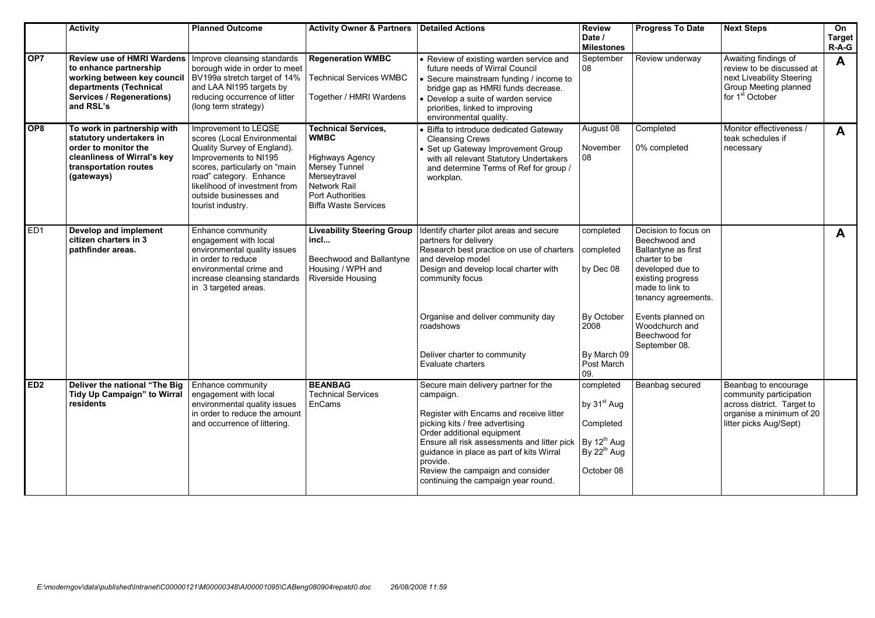|                 | <b>Activity</b>                                                                                                                                                                             | <b>Planned Outcome</b>                                                                                                                                                                                                                                  | <b>Activity Owner &amp; Partners   Detailed Actions</b>                                                                                                                               |                                                                                                                                                                                                                                                                                                                                                 | <b>Review</b><br>Date /<br><b>Milestones</b>                                                                   | <b>Progress To Date</b>                                                                                                                                          | <b>Next Steps</b>                                                                                                                      | On<br><b>Target</b><br>$R-\widetilde{A}-G$ |
|-----------------|---------------------------------------------------------------------------------------------------------------------------------------------------------------------------------------------|---------------------------------------------------------------------------------------------------------------------------------------------------------------------------------------------------------------------------------------------------------|---------------------------------------------------------------------------------------------------------------------------------------------------------------------------------------|-------------------------------------------------------------------------------------------------------------------------------------------------------------------------------------------------------------------------------------------------------------------------------------------------------------------------------------------------|----------------------------------------------------------------------------------------------------------------|------------------------------------------------------------------------------------------------------------------------------------------------------------------|----------------------------------------------------------------------------------------------------------------------------------------|--------------------------------------------|
| OP7             | <b>Review use of HMRI Wardens</b><br>to enhance partnership<br>working between key council BV199a stretch target of 14%<br>departments (Technical<br>Services / Regenerations)<br>and RSL's | Improve cleansing standards<br>borough wide in order to meet<br>and LAA NI195 targets by<br>reducing occurrence of litter<br>(long term strategy)                                                                                                       | <b>Regeneration WMBC</b><br><b>Technical Services WMBC</b><br>Together / HMRI Wardens                                                                                                 | • Review of existing warden service and<br>future needs of Wirral Council<br>• Secure mainstream funding / income to<br>bridge gap as HMRI funds decrease.<br>• Develop a suite of warden service<br>priorities, linked to improving<br>environmental quality.                                                                                  | September<br>08                                                                                                | Review underway                                                                                                                                                  | Awaiting findings of<br>review to be discussed at<br>next Liveability Steering<br>Group Meeting planned<br>for 1 <sup>st</sup> October | A                                          |
| OP <sub>8</sub> | To work in partnership with<br>statutory undertakers in<br>order to monitor the<br>cleanliness of Wirral's key<br>transportation routes<br>(gateways)                                       | Improvement to LEQSE<br>scores (Local Environmental<br>Quality Survey of England).<br>Improvements to NI195<br>scores, particularly on "main<br>road" category. Enhance<br>likelihood of investment from<br>outside businesses and<br>tourist industry. | <b>Technical Services,</b><br><b>WMBC</b><br><b>Highways Agency</b><br>Mersey Tunnel<br>Merseytravel<br><b>Network Rail</b><br><b>Port Authorities</b><br><b>Biffa Waste Services</b> | • Biffa to introduce dedicated Gateway<br><b>Cleansing Crews</b><br>• Set up Gateway Improvement Group<br>with all relevant Statutory Undertakers<br>and determine Terms of Ref for group /<br>workplan.                                                                                                                                        | August 08<br>November<br>08                                                                                    | Completed<br>0% completed                                                                                                                                        | Monitor effectiveness /<br>teak schedules if<br>necessary                                                                              | $\mathbf{A}$                               |
| ED <sub>1</sub> | Develop and implement<br>citizen charters in 3<br>pathfinder areas.                                                                                                                         | Enhance community<br>engagement with local<br>environmental quality issues<br>in order to reduce<br>environmental crime and<br>increase cleansing standards<br>in 3 targeted areas.                                                                     | <b>Liveability Steering Group</b><br>incl<br>Beechwood and Ballantyne<br>Housing / WPH and<br>Riverside Housing                                                                       | Identify charter pilot areas and secure<br>partners for delivery<br>Research best practice on use of charters<br>and develop model<br>Design and develop local charter with<br>community focus                                                                                                                                                  | completed<br>completed<br>by Dec 08                                                                            | Decision to focus on<br>Beechwood and<br>Ballantyne as first<br>charter to be<br>developed due to<br>existing progress<br>made to link to<br>tenancy agreements. |                                                                                                                                        | $\mathbf{A}$                               |
|                 |                                                                                                                                                                                             |                                                                                                                                                                                                                                                         |                                                                                                                                                                                       | Organise and deliver community day<br>roadshows                                                                                                                                                                                                                                                                                                 | By October<br>2008                                                                                             | Events planned on<br>Woodchurch and<br>Beechwood for<br>September 08.                                                                                            |                                                                                                                                        |                                            |
|                 |                                                                                                                                                                                             |                                                                                                                                                                                                                                                         |                                                                                                                                                                                       | Deliver charter to community<br>Evaluate charters                                                                                                                                                                                                                                                                                               | By March 09<br>Post March<br>09.                                                                               |                                                                                                                                                                  |                                                                                                                                        |                                            |
| ED <sub>2</sub> | Deliver the national "The Big<br>Tidy Up Campaign" to Wirral<br>residents                                                                                                                   | Enhance community<br>engagement with local<br>environmental quality issues<br>in order to reduce the amount<br>and occurrence of littering.                                                                                                             | <b>BEANBAG</b><br><b>Technical Services</b><br>EnCams                                                                                                                                 | Secure main delivery partner for the<br>campaign.<br>Register with Encams and receive litter<br>picking kits / free advertising<br>Order additional equipment<br>Ensure all risk assessments and litter pick<br>guidance in place as part of kits Wirral<br>provide.<br>Review the campaign and consider<br>continuing the campaign year round. | completed<br>by 31 <sup>st</sup> Aug<br>Completed<br>By $12^{th}$ Aug<br>By 22 <sup>th</sup> Aug<br>October 08 | Beanbag secured                                                                                                                                                  | Beanbag to encourage<br>community participation<br>across district. Target to<br>organise a minimum of 20<br>litter picks Aug/Sept)    |                                            |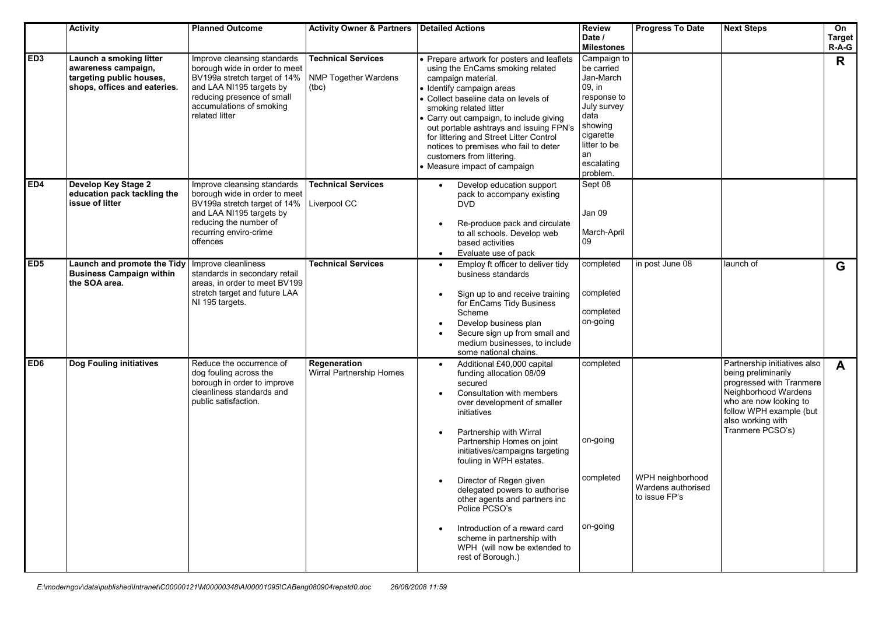|                 | <b>Activity</b>                                                                                            | <b>Planned Outcome</b>                                                                                                                                                                               | <b>Activity Owner &amp; Partners   Detailed Actions</b>           |                                                                                                                                                                                                                                                                                                                                                                                                                                                                                                       | <b>Review</b><br>Date /<br><b>Milestones</b>                                                                                                                   | <b>Progress To Date</b>                                 | <b>Next Steps</b>                                                                                                                                                                                     | On<br><b>Target</b><br>$R-A-G$ |
|-----------------|------------------------------------------------------------------------------------------------------------|------------------------------------------------------------------------------------------------------------------------------------------------------------------------------------------------------|-------------------------------------------------------------------|-------------------------------------------------------------------------------------------------------------------------------------------------------------------------------------------------------------------------------------------------------------------------------------------------------------------------------------------------------------------------------------------------------------------------------------------------------------------------------------------------------|----------------------------------------------------------------------------------------------------------------------------------------------------------------|---------------------------------------------------------|-------------------------------------------------------------------------------------------------------------------------------------------------------------------------------------------------------|--------------------------------|
| ED <sub>3</sub> | Launch a smoking litter<br>awareness campaign,<br>targeting public houses,<br>shops, offices and eateries. | Improve cleansing standards<br>borough wide in order to meet<br>BV199a stretch target of 14%<br>and LAA NI195 targets by<br>reducing presence of small<br>accumulations of smoking<br>related litter | <b>Technical Services</b><br><b>NMP Together Wardens</b><br>(tbc) | Prepare artwork for posters and leaflets<br>using the EnCams smoking related<br>campaign material.<br>· Identify campaign areas<br>• Collect baseline data on levels of<br>smoking related litter<br>Carry out campaign, to include giving<br>out portable ashtrays and issuing FPN's<br>for littering and Street Litter Control<br>notices to premises who fail to deter<br>customers from littering.<br>• Measure impact of campaign                                                                | Campaign to<br>be carried<br>Jan-March<br>09, in<br>response to<br>July survey<br>data<br>showing<br>cigarette<br>litter to be<br>an<br>escalating<br>problem. |                                                         |                                                                                                                                                                                                       | $\mathsf{R}$                   |
| ED4             | Develop Key Stage 2<br>education pack tackling the<br>issue of litter                                      | Improve cleansing standards<br>borough wide in order to meet<br>BV199a stretch target of 14%<br>and LAA NI195 targets by<br>reducing the number of<br>recurring enviro-crime<br>offences             | <b>Technical Services</b><br>Liverpool CC                         | Develop education support<br>pack to accompany existing<br><b>DVD</b><br>Re-produce pack and circulate<br>$\bullet$<br>to all schools. Develop web<br>based activities<br>Evaluate use of pack<br>$\bullet$                                                                                                                                                                                                                                                                                           | Sept 08<br>Jan 09<br>March-April<br>09                                                                                                                         |                                                         |                                                                                                                                                                                                       |                                |
| ED <sub>5</sub> | Launch and promote the Tidy<br><b>Business Campaign within</b><br>the SOA area.                            | Improve cleanliness<br>standards in secondary retail<br>areas. in order to meet BV199<br>stretch target and future LAA<br>NI 195 targets.                                                            | <b>Technical Services</b>                                         | Employ ft officer to deliver tidy<br>$\bullet$<br>business standards<br>Sign up to and receive training<br>for EnCams Tidy Business<br>Scheme<br>Develop business plan<br>$\bullet$<br>Secure sign up from small and<br>medium businesses, to include<br>some national chains.                                                                                                                                                                                                                        | completed<br>completed<br>completed<br>on-going                                                                                                                | in post June 08                                         | launch of                                                                                                                                                                                             | G                              |
| ED6             | <b>Dog Fouling initiatives</b>                                                                             | Reduce the occurrence of<br>dog fouling across the<br>borough in order to improve<br>cleanliness standards and<br>public satisfaction.                                                               | Regeneration<br>Wirral Partnership Homes                          | Additional £40,000 capital<br>funding allocation 08/09<br>secured<br>Consultation with members<br>over development of smaller<br>initiatives<br>Partnership with Wirral<br>Partnership Homes on joint<br>initiatives/campaigns targeting<br>fouling in WPH estates.<br>Director of Regen given<br>delegated powers to authorise<br>other agents and partners inc<br>Police PCSO's<br>Introduction of a reward card<br>scheme in partnership with<br>WPH (will now be extended to<br>rest of Borough.) | completed<br>on-going<br>completed<br>on-going                                                                                                                 | WPH neighborhood<br>Wardens authorised<br>to issue FP's | Partnership initiatives also<br>being preliminarily<br>progressed with Tranmere<br>Neighborhood Wardens<br>who are now looking to<br>follow WPH example (but<br>also working with<br>Tranmere PCSO's) | $\mathbf{A}$                   |